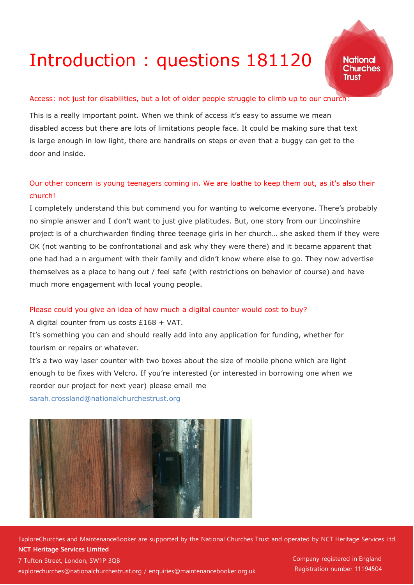# Introduction : questions 181120

#### Access: not just for disabilities, but a lot of older people struggle to climb up to our church:

This is a really important point. When we think of access it's easy to assume we mean disabled access but there are lots of limitations people face. It could be making sure that text is large enough in low light, there are handrails on steps or even that a buggy can get to the door and inside.

# Our other concern is young teenagers coming in. We are loathe to keep them out, as it's also their church!

I completely understand this but commend you for wanting to welcome everyone. There's probably no simple answer and I don't want to just give platitudes. But, one story from our Lincolnshire project is of a churchwarden finding three teenage girls in her church… she asked them if they were OK (not wanting to be confrontational and ask why they were there) and it became apparent that one had had a n argument with their family and didn't know where else to go. They now advertise themselves as a place to hang out / feel safe (with restrictions on behavior of course) and have much more engagement with local young people.

# Please could you give an idea of how much a digital counter would cost to buy?

A digital counter from us costs £168 + VAT.

It's something you can and should really add into any application for funding, whether for tourism or repairs or whatever.

It's a two way laser counter with two boxes about the size of mobile phone which are light enough to be fixes with Velcro. If you're interested (or interested in borrowing one when we reorder our project for next year) please email me

[sarah.crossland@nationalchurchestrust.org](mailto:sarah.crossland@nationalchurchestrust.org)



ExploreChurches and MaintenanceBooker are supported by the National Churches Trust and operated by NCT Heritage Services Ltd. **NCT Heritage Services Limited**

7 Tufton Street, London, SW1P 3QB [explorechurches@nationalchurchestrust.org /](mailto:explorechurches@nationalchurchestrust.org) [enquiries@maintenancebooker.org.uk](mailto:enquiries@maintenancebooker.org.uk) Company registered in England Registration number 11194504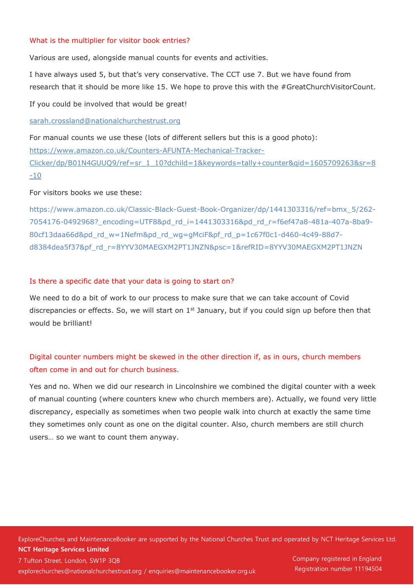#### What is the multiplier for visitor book entries?

Various are used, alongside manual counts for events and activities.

I have always used 5, but that's very conservative. The CCT use 7. But we have found from research that it should be more like 15. We hope to prove this with the #GreatChurchVisitorCount.

If you could be involved that would be great!

[sarah.crossland@nationalchurchestrust.org](mailto:sarah.crossland@nationalchurchestrust.org)

For manual counts we use these (lots of different sellers but this is a good photo): [https://www.amazon.co.uk/Counters-AFUNTA-Mechanical-Tracker-](https://www.amazon.co.uk/Counters-AFUNTA-Mechanical-Tracker-Clicker/dp/B01N4GUUQ9/ref=sr_1_10?dchild=1&keywords=tally+counter&qid=1605709263&sr=8-10)[Clicker/dp/B01N4GUUQ9/ref=sr\\_1\\_10?dchild=1&keywords=tally+counter&qid=1605709263&sr=8](https://www.amazon.co.uk/Counters-AFUNTA-Mechanical-Tracker-Clicker/dp/B01N4GUUQ9/ref=sr_1_10?dchild=1&keywords=tally+counter&qid=1605709263&sr=8-10)  $-10$ 

# For visitors books we use these:

https://www.amazon.co.uk/Classic-Black-Guest-Book-Organizer/dp/1441303316/ref=bmx\_5/262- 7054176-0492968?\_encoding=UTF8&pd\_rd\_i=1441303316&pd\_rd\_r=f6ef47a8-481a-407a-8ba9- 80cf13daa66d&pd\_rd\_w=1Nefm&pd\_rd\_wg=gMciF&pf\_rd\_p=1c67f0c1-d460-4c49-88d7 d8384dea5f37&pf\_rd\_r=8YYV30MAEGXM2PT1JNZN&psc=1&refRID=8YYV30MAEGXM2PT1JNZN

# Is there a specific date that your data is going to start on?

We need to do a bit of work to our process to make sure that we can take account of Covid discrepancies or effects. So, we will start on  $1<sup>st</sup>$  January, but if you could sign up before then that would be brilliant!

# Digital counter numbers might be skewed in the other direction if, as in ours, church members often come in and out for church business.

Yes and no. When we did our research in Lincolnshire we combined the digital counter with a week of manual counting (where counters knew who church members are). Actually, we found very little discrepancy, especially as sometimes when two people walk into church at exactly the same time they sometimes only count as one on the digital counter. Also, church members are still church users… so we want to count them anyway.

ExploreChurches and MaintenanceBooker are supported by the National Churches Trust and operated by NCT Heritage Services Ltd. **NCT Heritage Services Limited**

7 Tufton Street, London, SW1P 3QB [explorechurches@nationalchurchestrust.org /](mailto:explorechurches@nationalchurchestrust.org) [enquiries@maintenancebooker.org.uk](mailto:enquiries@maintenancebooker.org.uk) Company registered in England Registration number 11194504